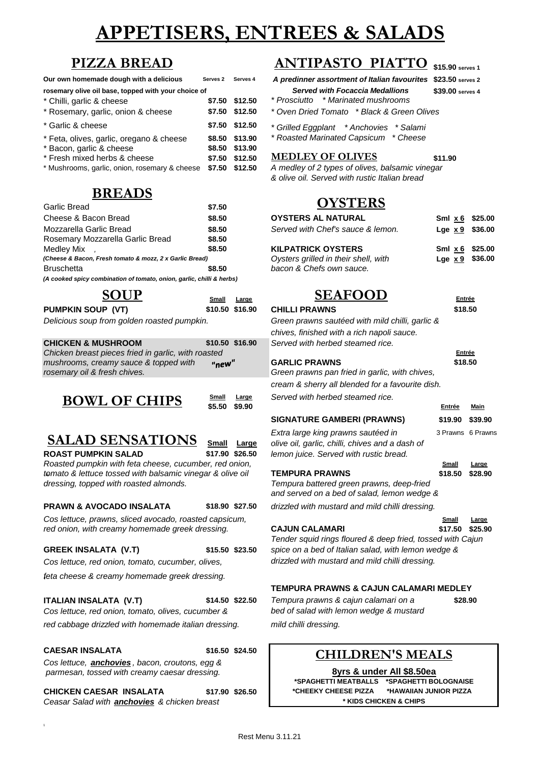# **APPETISERS, ENTREES & SALADS**

| Our own homemade dough with a delicious             | Serves <sub>2</sub> | Serves |
|-----------------------------------------------------|---------------------|--------|
| rosemary olive oil base, topped with your choice of |                     |        |

| * Chilli, garlic & cheese                     | \$7.50 \$12.50 |                                                 |         |
|-----------------------------------------------|----------------|-------------------------------------------------|---------|
| * Rosemary, garlic, onion & cheese            | \$7.50 \$12.50 | * Oven Dried Tomato * Black & Green Olives      |         |
| * Garlic & cheese                             | \$7.50 \$12.50 | * Grilled Eggplant * Anchovies * Salami         |         |
| * Feta, olives, garlic, oregano & cheese      | \$8.50 \$13.90 | * Roasted Marinated Capsicum * Cheese           |         |
| * Bacon, garlic & cheese                      | \$8.50 \$13.90 |                                                 |         |
| * Fresh mixed herbs & cheese                  | \$7.50 \$12.50 | <b>MEDLEY OF OLIVES</b>                         | \$11.90 |
| * Mushrooms, garlic, onion, rosemary & cheese | \$7.50 \$12.50 | A medley of 2 types of olives, balsamic vinegar |         |

# **BREADS**

| \$7.50 | UI SI E                                                                                                                          |
|--------|----------------------------------------------------------------------------------------------------------------------------------|
| \$8.50 | <b>OYSTERS AL NATURAL</b>                                                                                                        |
| \$8.50 | Served with Chef's sauce &                                                                                                       |
| \$8.50 |                                                                                                                                  |
| \$8.50 | <b>KILPATRICK OYSTERS</b>                                                                                                        |
|        | Oysters grilled in their shel                                                                                                    |
| \$8.50 | bacon & Chefs own sauce.                                                                                                         |
|        |                                                                                                                                  |
|        | (Cheese & Bacon, Fresh tomato & mozz, 2 x Garlic Bread)<br>(A cooked spicy combination of tomato, onion, garlic, chilli & herbs) |

| SOUP                                        | Small | Large           | <b>SEAFOOD</b>                                  |
|---------------------------------------------|-------|-----------------|-------------------------------------------------|
| <b>PUMPKIN SOUP (VT)</b>                    |       | \$10.50 \$16.90 | <b>CHILLI PRAWNS</b>                            |
| Delicious soup from golden roasted pumpkin. |       |                 | Green prawns sautéed with mild chilli, garlic & |

| <b>CHICKEN &amp; MUSHROOM</b>                       |       | \$10.50 \$16.90 | Served with herbed steamed rice.               |
|-----------------------------------------------------|-------|-----------------|------------------------------------------------|
| Chicken breast pieces fried in garlic, with roasted |       |                 |                                                |
| mushrooms, creamy sauce & topped with               | "neW" |                 | <b>GARLIC PRAWNS</b>                           |
| rosemary oil & fresh chives.                        |       |                 | Green prawns pan fried in garlic, with chives, |
|                                                     |       |                 | .                                              |

| <b>Small</b> | Large  |
|--------------|--------|
| \$5.50       | \$9.90 |

# **SALAD SENSATIONS**

| Small | Large |
|-------|-------|
|       |       |

**ROAST PUMPKIN SALAD <b>\$17.90** \$26.50 *le Roasted pumpkin with feta cheese, cucumber, red onion,*<br> *somato & lettuce tossed with balsamic vinegar & olive oil* **T tomato & lettuce tossed with balsamic vinegar & olive oil** *dressing, topped with roasted almonds.* **Tempurary batter prayers**  $T$ 

### **PRAWN & AVOCADO INSALATA \$18.90 \$27.50** *d*

*Cos lettuce, prawns, sliced avocado, roasted capsicum,*<br> *red onion, with creamy homemade greek dressing.* **CAJUN CALAMARI** *red onion, with creamy homemade greek dressing.* **CAJUN CALAMARI \$17.50 \$25.90**

*Cos lettuce, red onion, tomato, cucumber, olives, drizzled with mustard and mild chilli dressing.*

*feta cheese & creamy homemade greek dressing.*

### **ITALIAN INSALATA (V.T) \$14.50 \$22.50** *Tempura prawns & cajun calamari on a*

*red cabbage drizzled with homemade italian dressing. mild chilli dressing.*

#### **CAESAR INSALATA \$16.50 \$24.50**

*Cos lettuce, anchovies , bacon, croutons, egg & parmesan, tossed with creamy caesar dressing.*

**CHICKEN CAESAR INSALATA \$17.90 \$26.50** *Ceasar Salad with anchovies & chicken breast* **\* KIDS CHICKEN & CHIPS**

#### **\$15.90 serves 1 PIZZA BREAD ANTIPASTO PIATT**

**Our own homemade dough with a delicious Serves 2 Serves 4** *A predinner assortment of Italian favourites* **\$23.50 serves 2** *Served with Focaccia Medallions* **\$39.00 <b>***serves* 4

- \* Chilli, garlic & cheese **\$7.50 \$12.50** *\* Prosciutto \* Marinated mushrooms*
- \* Rosemary, garlic, onion & cheese **\$7.50 \$12.50** *\* Oven Dried Tomato \* Black & Green Olives*
- \* Garlic & cheese **\$7.50 \$12.50** *\* Grilled Eggplant \* Anchovies \* Salami*
- \* Feta, olives, garlic, oregano & cheese **\$8.50 \$13.90** *\* Roasted Marinated Capsicum \* Cheese*

\* Mushrooms, garlic, onion, rosemary & cheese **\$7.50 \$12.50** *A medley of 2 types of olives, balsamic vinegar & olive oil. Served with rustic Italian bread*

# **OYSTERS**

| Cheese & Bacon Bread                                                  | \$8.50 | <b>OYSTERS AL NATURAL</b>            | Sml x 6 \$25.00   |  |
|-----------------------------------------------------------------------|--------|--------------------------------------|-------------------|--|
| Mozzarella Garlic Bread                                               | \$8.50 | Served with Chef's sauce & lemon.    | Lge $x 9$ \$36.00 |  |
| Rosemary Mozzarella Garlic Bread                                      | \$8.50 |                                      |                   |  |
| Medlev Mix                                                            | \$8.50 | <b>KILPATRICK OYSTERS</b>            | Sml x 6 \$25.00   |  |
| (Cheese & Bacon, Fresh tomato & mozz, 2 x Garlic Bread)               |        | Oysters grilled in their shell, with | Lge $x9$ \$36.00  |  |
| <b>Bruschetta</b>                                                     | \$8.50 | bacon & Chefs own sauce.             |                   |  |
| (A cooked spicy combination of tomato, onion, garlic, chilli & herbs) |        |                                      |                   |  |
|                                                                       |        |                                      |                   |  |

# **SOUP SEAFOOD Entrée**

| <b>UHRH</b>    | ∟aryc           |                                                                                          | ᅴᄔ      |                   |
|----------------|-----------------|------------------------------------------------------------------------------------------|---------|-------------------|
|                | \$10.50 \$16.90 | <b>CHILLI PRAWNS</b>                                                                     | \$18.50 |                   |
|                |                 | Green prawns sautéed with mild chilli, garlic &                                          |         |                   |
|                |                 | chives, finished with a rich napoli sauce.                                               |         |                   |
|                | \$10.50 \$16.90 | Served with herbed steamed rice.                                                         |         |                   |
| sted           |                 |                                                                                          | Entrée  |                   |
| "new"          |                 | <b>GARLIC PRAWNS</b>                                                                     | \$18.50 |                   |
|                |                 | Green prawns pan fried in garlic, with chives,                                           |         |                   |
|                |                 | cream & sherry all blended for a favourite dish.                                         |         |                   |
| Small          | Large           | Served with herbed steamed rice.                                                         |         |                   |
| \$5.50         | \$9.90          |                                                                                          | Entrée  | Main              |
|                |                 | <b>SIGNATURE GAMBERI (PRAWNS)</b>                                                        | \$19.90 | \$39.90           |
|                |                 | Extra large king prawns sautéed in                                                       |         | 3 Prawns 6 Prawns |
| Small          | Large           | olive oil, garlic, chilli, chives and a dash of                                          |         |                   |
|                | \$17.90 \$26.50 | lemon juice. Served with rustic bread.                                                   |         |                   |
| r, red onion,  |                 |                                                                                          | Small   | Large             |
| ır & olive oil |                 | <b>TEMPURA PRAWNS</b>                                                                    | \$18.50 | \$28.90           |
|                |                 | Tempura battered green prawns, deep-fried<br>and served on a bed of salad, lemon wedge & |         |                   |
|                | \$18.90 \$27.50 | drizzled with mustard and mild chilli dressing.                                          |         |                   |
| capsicum,      |                 |                                                                                          | Small   | Large             |

*Tender squid rings floured & deep fried, tossed with Cajun* **GREEK INSALATA (V.T) \$15.50 \$23.50** *spice on a bed of Italian salad, with lemon wedge &* 

### **TEMPURA PRAWNS & CAJUN CALAMARI MEDLEY**

*Cos lettuce, red onion, tomato, olives, cucumber & bed of salad with lemon wedge & mustard* 

# **CHILDREN'S MEALS**

**\$28.90**

### **8yrs & under All \$8.50ea**

**\*SPAGHETTI MEATBALLS \*SPAGHETTI BOLOGNAISE \*CHEEKY CHEESE PIZZA \*HAWAIIAN JUNIOR PIZZA**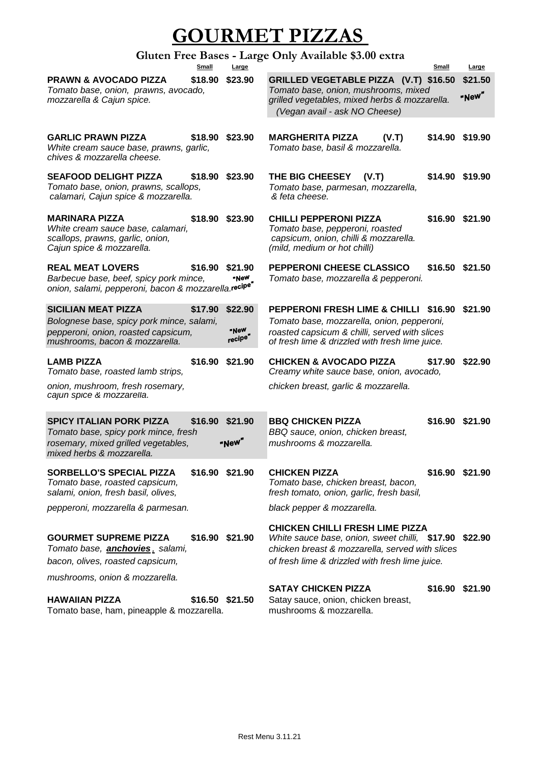# **GOURMET PIZZAS**

# **Gluten Free Bases - Large Only Available \$3.00 extra**

|                                                                                                                                                  | Small   | Large                      |                                                                                                                                                                                                        | Small           | Large            |
|--------------------------------------------------------------------------------------------------------------------------------------------------|---------|----------------------------|--------------------------------------------------------------------------------------------------------------------------------------------------------------------------------------------------------|-----------------|------------------|
| <b>PRAWN &amp; AVOCADO PIZZA</b><br>Tomato base, onion, prawns, avocado,<br>mozzarella & Cajun spice.                                            | \$18.90 | \$23.90                    | GRILLED VEGETABLE PIZZA (V.T) \$16.50<br>Tomato base, onion, mushrooms, mixed<br>grilled vegetables, mixed herbs & mozzarella.<br>(Vegan avail - ask NO Cheese)                                        |                 | \$21.50<br>"New" |
| <b>GARLIC PRAWN PIZZA</b><br>White cream sauce base, prawns, garlic,<br>chives & mozzarella cheese.                                              | \$18.90 | \$23.90                    | <b>MARGHERITA PIZZA</b><br>(V.T)<br>Tomato base, basil & mozzarella.                                                                                                                                   | \$14.90 \$19.90 |                  |
| <b>SEAFOOD DELIGHT PIZZA</b><br>Tomato base, onion, prawns, scallops,<br>calamari, Cajun spice & mozzarella.                                     | \$18.90 | \$23.90                    | THE BIG CHEESEY<br>(V.T)<br>Tomato base, parmesan, mozzarella,<br>& feta cheese.                                                                                                                       | \$14.90 \$19.90 |                  |
| <b>MARINARA PIZZA</b><br>White cream sauce base, calamari,<br>scallops, prawns, garlic, onion,<br>Cajun spice & mozzarella.                      | \$18.90 | \$23.90                    | <b>CHILLI PEPPERONI PIZZA</b><br>Tomato base, pepperoni, roasted<br>capsicum, onion, chilli & mozzarella.<br>(mild, medium or hot chilli)                                                              | \$16.90 \$21.90 |                  |
| <b>REAL MEAT LOVERS</b><br>Barbecue base, beef, spicy pork mince,<br>onion, salami, pepperoni, bacon & mozzarella.recipe <sup>r</sup>            | \$16.90 | \$21.90<br>"NeW            | PEPPERONI CHEESE CLASSICO<br>Tomato base, mozzarella & pepperoni.                                                                                                                                      | \$16.50 \$21.50 |                  |
| <b>SICILIAN MEAT PIZZA</b><br>Bolognese base, spicy pork mince, salami,<br>pepperoni, onion, roasted capsicum,<br>mushrooms, bacon & mozzarella. | \$17.90 | \$22.90<br>"New<br>recipe" | PEPPERONI FRESH LIME & CHILLI \$16.90 \$21.90<br>Tomato base, mozzarella, onion, pepperoni,<br>roasted capsicum & chilli, served with slices<br>of fresh lime & drizzled with fresh lime juice.        |                 |                  |
| <b>LAMB PIZZA</b><br>Tomato base, roasted lamb strips,<br>onion, mushroom, fresh rosemary,<br>cajun spice & mozzarella.                          |         | \$16.90 \$21.90            | <b>CHICKEN &amp; AVOCADO PIZZA</b><br>Creamy white sauce base, onion, avocado,<br>chicken breast, garlic & mozzarella.                                                                                 | \$17.90         | \$22.90          |
| <b>SPICY ITALIAN PORK PIZZA</b><br>Tomato base, spicy pork mince, fresh<br>rosemary, mixed grilled vegetables,<br>mixed herbs & mozzarella.      | \$16.90 | \$21.90<br>"New"           | <b>BBQ CHICKEN PIZZA</b><br>BBQ sauce, onion, chicken breast,<br>mushrooms & mozzarella.                                                                                                               | \$16.90 \$21.90 |                  |
| <b>SORBELLO'S SPECIAL PIZZA</b><br>Tomato base, roasted capsicum,<br>salami, onion, fresh basil, olives,                                         |         | \$16.90 \$21.90            | <b>CHICKEN PIZZA</b><br>Tomato base, chicken breast, bacon,<br>fresh tomato, onion, garlic, fresh basil,                                                                                               | \$16.90 \$21.90 |                  |
| pepperoni, mozzarella & parmesan.                                                                                                                |         |                            | black pepper & mozzarella.                                                                                                                                                                             |                 |                  |
| <b>GOURMET SUPREME PIZZA</b><br>Tomato base, <b>anchovies</b> , salami,<br>bacon, olives, roasted capsicum,                                      |         | \$16.90 \$21.90            | <b>CHICKEN CHILLI FRESH LIME PIZZA</b><br>White sauce base, onion, sweet chilli, \$17.90 \$22.90<br>chicken breast & mozzarella, served with slices<br>of fresh lime & drizzled with fresh lime juice. |                 |                  |
| mushrooms, onion & mozzarella.                                                                                                                   |         |                            | <b>SATAY CHICKEN PIZZA</b>                                                                                                                                                                             |                 | \$16.90 \$21.90  |
| <b>HAWAIIAN PIZZA</b><br>Tomato base, ham, pineapple & mozzarella.                                                                               |         | \$16.50 \$21.50            | Satay sauce, onion, chicken breast,<br>mushrooms & mozzarella.                                                                                                                                         |                 |                  |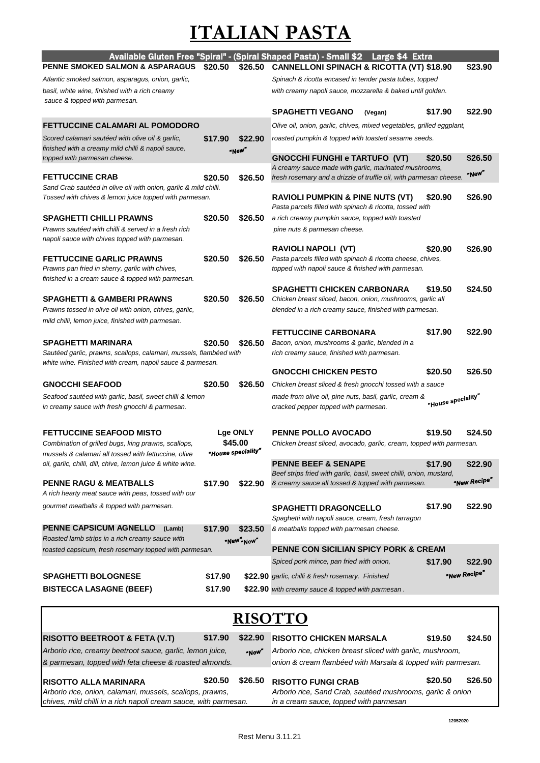# **ITALIAN PASTA**

| <b>PENNE SMOKED SALMON &amp; ASPARAGUS</b>                                                                                      | \$20.50 | \$26.50            | Available Gluten Free "Spiral" - (Spiral Shaped Pasta) - Small \$2 Large \$4 Extra<br><b>CANNELLONI SPINACH &amp; RICOTTA (VT) \$18.90</b> |                    | \$23.90      |
|---------------------------------------------------------------------------------------------------------------------------------|---------|--------------------|--------------------------------------------------------------------------------------------------------------------------------------------|--------------------|--------------|
| Atlantic smoked salmon, asparagus, onion, garlic,                                                                               |         |                    | Spinach & ricotta encased in tender pasta tubes, topped                                                                                    |                    |              |
| basil, white wine, finished with a rich creamy                                                                                  |         |                    | with creamy napoli sauce, mozzarella & baked until golden.                                                                                 |                    |              |
| sauce & topped with parmesan.                                                                                                   |         |                    |                                                                                                                                            |                    |              |
|                                                                                                                                 |         |                    | <b>SPAGHETTI VEGANO</b><br>(Vegan)                                                                                                         | \$17.90            | \$22.90      |
| <b>FETTUCCINE CALAMARI AL POMODORO</b>                                                                                          |         |                    | Olive oil, onion, garlic, chives, mixed vegetables, grilled eggplant,                                                                      |                    |              |
| Scored calamari sautéed with olive oil & garlic,<br>finished with a creamy mild chilli & napoli sauce,                          | \$17.90 | \$22.90<br>"New"   | roasted pumpkin & topped with toasted sesame seeds.                                                                                        |                    |              |
| topped with parmesan cheese.                                                                                                    |         |                    | <b>GNOCCHI FUNGHI e TARTUFO (VT)</b>                                                                                                       | \$20.50            | \$26.50      |
| <b>FETTUCCINE CRAB</b>                                                                                                          | \$20.50 | \$26.50            | A creamy sauce made with garlic, marinated mushrooms,<br>fresh rosemary and a drizzle of truffle oil, with parmesan cheese.                |                    | "New"        |
| Sand Crab sautéed in olive oil with onion, garlic & mild chilli.                                                                |         |                    |                                                                                                                                            |                    |              |
| Tossed with chives & lemon juice topped with parmesan.                                                                          |         |                    | <b>RAVIOLI PUMPKIN &amp; PINE NUTS (VT)</b><br>Pasta parcels filled with spinach & ricotta, tossed with                                    | \$20.90            | \$26.90      |
| <b>SPAGHETTI CHILLI PRAWNS</b>                                                                                                  | \$20.50 | \$26.50            | a rich creamy pumpkin sauce, topped with toasted                                                                                           |                    |              |
| Prawns sautéed with chilli & served in a fresh rich<br>napoli sauce with chives topped with parmesan.                           |         |                    | pine nuts & parmesan cheese.                                                                                                               |                    |              |
| <b>FETTUCCINE GARLIC PRAWNS</b>                                                                                                 | \$20.50 | \$26.50            | <b>RAVIOLI NAPOLI (VT)</b><br>Pasta parcels filled with spinach & ricotta cheese, chives,                                                  | \$20.90            | \$26.90      |
| Prawns pan fried in sherry, garlic with chives,                                                                                 |         |                    | topped with napoli sauce & finished with parmesan.                                                                                         |                    |              |
| finished in a cream sauce & topped with parmesan.                                                                               |         |                    | <b>SPAGHETTI CHICKEN CARBONARA</b>                                                                                                         | \$19.50            | \$24.50      |
| <b>SPAGHETTI &amp; GAMBERI PRAWNS</b>                                                                                           | \$20.50 | \$26.50            | Chicken breast sliced, bacon, onion, mushrooms, garlic all                                                                                 |                    |              |
| Prawns tossed in olive oil with onion, chives, garlic,                                                                          |         |                    | blended in a rich creamy sauce, finished with parmesan.                                                                                    |                    |              |
| mild chilli, lemon juice, finished with parmesan.                                                                               |         |                    |                                                                                                                                            |                    |              |
|                                                                                                                                 |         |                    | <b>FETTUCCINE CARBONARA</b>                                                                                                                | \$17.90            | \$22.90      |
| <b>SPAGHETTI MARINARA</b>                                                                                                       | \$20.50 | \$26.50            | Bacon, onion, mushrooms & garlic, blended in a                                                                                             |                    |              |
| Sautéed garlic, prawns, scallops, calamari, mussels, flambéed with<br>white wine. Finished with cream, napoli sauce & parmesan. |         |                    | rich creamy sauce, finished with parmesan.                                                                                                 |                    |              |
|                                                                                                                                 |         |                    | <b>GNOCCHI CHICKEN PESTO</b>                                                                                                               | \$20.50            | \$26.50      |
| <b>GNOCCHI SEAFOOD</b>                                                                                                          | \$20.50 | \$26.50            | Chicken breast sliced & fresh gnocchi tossed with a sauce                                                                                  |                    |              |
| Seafood sautéed with garlic, basil, sweet chilli & lemon                                                                        |         |                    | made from olive oil, pine nuts, basil, garlic, cream &                                                                                     | "House speciality" |              |
| in creamy sauce with fresh gnocchi & parmesan.                                                                                  |         |                    | cracked pepper topped with parmesan.                                                                                                       |                    |              |
| <b>FETTUCCINE SEAFOOD MISTO</b>                                                                                                 |         | <b>Lge ONLY</b>    | <b>PENNE POLLO AVOCADO</b>                                                                                                                 | \$19.50            | \$24.50      |
| Combination of grilled bugs, king prawns, scallops,                                                                             |         | \$45.00            | Chicken breast sliced, avocado, garlic, cream, topped with parmesan.                                                                       |                    |              |
| mussels & calamari all tossed with fettuccine, olive                                                                            |         | "House speciality" |                                                                                                                                            |                    |              |
| oil, garlic, chilli, dill, chive, lemon juice & white wine.                                                                     |         |                    | <b>PENNE BEEF &amp; SENAPE</b><br>Beef strips fried with garlic, basil, sweet chilli, onion, mustard,                                      | \$17.90            | \$22.90      |
| <b>PENNE RAGU &amp; MEATBALLS</b><br>A rich hearty meat sauce with peas, tossed with our                                        | \$17.90 | \$22.90            | & creamy sauce all tossed & topped with parmesan.                                                                                          |                    | "New Recipe" |
| gourmet meatballs & topped with parmesan.                                                                                       |         |                    | <b>SPAGHETTI DRAGONCELLO</b>                                                                                                               | \$17.90            | \$22.90      |
|                                                                                                                                 |         |                    | Spaghetti with napoli sauce, cream, fresh tarragon                                                                                         |                    |              |
| <b>PENNE CAPSICUM AGNELLO</b><br>(Lamb)                                                                                         | \$17.90 | \$23.50            | & meatballs topped with parmesan cheese.                                                                                                   |                    |              |
| Roasted lamb strips in a rich creamy sauce with                                                                                 |         | "New" New"         |                                                                                                                                            |                    |              |
| roasted capsicum, fresh rosemary topped with parmesan.                                                                          |         |                    | <b>PENNE CON SICILIAN SPICY PORK &amp; CREAM</b>                                                                                           |                    |              |
|                                                                                                                                 |         |                    | Spiced pork mince, pan fried with onion,                                                                                                   | \$17.90            | \$22.90      |
| <b>SPAGHETTI BOLOGNESE</b>                                                                                                      | \$17.90 |                    | \$22.90 garlic, chilli & fresh rosemary. Finished                                                                                          |                    | "New Recipe" |
| <b>BISTECCA LASAGNE (BEEF)</b>                                                                                                  | \$17.90 |                    | \$22.90 with creamy sauce & topped with parmesan.                                                                                          |                    |              |
|                                                                                                                                 |         |                    |                                                                                                                                            |                    |              |
|                                                                                                                                 |         |                    | <b>RISOTTO</b>                                                                                                                             |                    |              |

# **RISOTTO**

| <b>RISOTTO BEETROOT &amp; FETA (V.T)</b>                         | \$17.90 |                                                            | \$22.90 RISOTTO CHICKEN MARSALA                             | \$19.50 | \$24.50 |
|------------------------------------------------------------------|---------|------------------------------------------------------------|-------------------------------------------------------------|---------|---------|
| Arborio rice, creamy beetroot sauce, garlic, lemon juice,        |         | "NeW"                                                      | Arborio rice, chicken breast sliced with garlic, mushroom,  |         |         |
| & parmesan, topped with feta cheese & roasted almonds.           |         |                                                            | onion & cream flambéed with Marsala & topped with parmesan. |         |         |
| <b>IRISOTTO ALLA MARINARA</b>                                    | \$20.50 | \$26.50                                                    | <b>RISOTTO FUNGI CRAB</b>                                   | \$20.50 | \$26.50 |
| Arborio rice, onion, calamari, mussels, scallops, prawns,        |         | Arborio rice, Sand Crab, sautéed mushrooms, garlic & onion |                                                             |         |         |
| chives, mild chilli in a rich napoli cream sauce, with parmesan. |         |                                                            | in a cream sauce, topped with parmesan                      |         |         |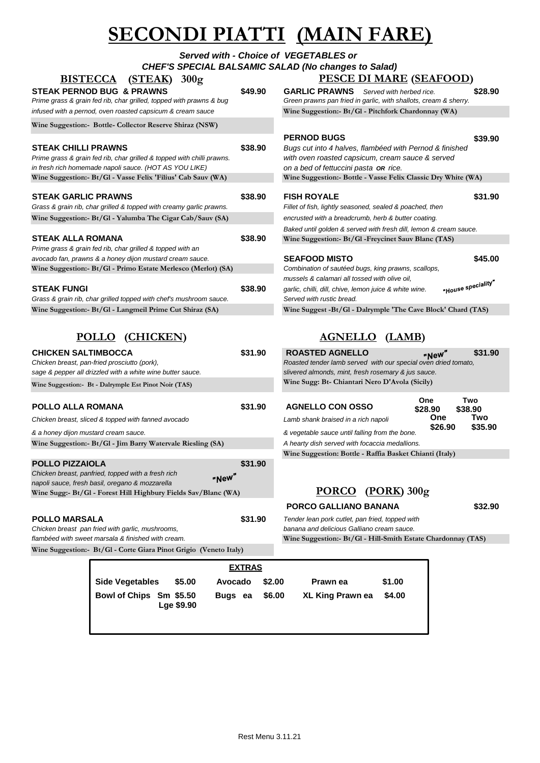# **SECONDI PIATTI (MAIN FARE)**

| <b>BISTECCA</b><br>(STEAK)<br>300g                                                                                                                             |         | Served with - Choice of VEGETABLES or<br><b>CHEF'S SPECIAL BALSAMIC SALAD (No changes to Salad)</b><br><b>PESCE DI MARE (SEAFOOD)</b>                                      |         |
|----------------------------------------------------------------------------------------------------------------------------------------------------------------|---------|----------------------------------------------------------------------------------------------------------------------------------------------------------------------------|---------|
| <b>STEAK PERNOD BUG &amp; PRAWNS</b><br>Prime grass & grain fed rib, char grilled, topped with prawns & bug                                                    | \$49.90 | <b>GARLIC PRAWNS</b> Served with herbed rice.<br>Green prawns pan fried in garlic, with shallots, cream & sherry.                                                          | \$28.90 |
| infused with a pernod, oven roasted capsicum & cream sauce                                                                                                     |         | Wine Suggestion:- Bt/Gl - Pitchfork Chardonnay (WA)                                                                                                                        |         |
| Wine Suggestion:- Bottle- Collector Reserve Shiraz (NSW)                                                                                                       |         |                                                                                                                                                                            |         |
| <b>STEAK CHILLI PRAWNS</b><br>Prime grass & grain fed rib, char grilled & topped with chilli prawns.<br>in fresh rich homemade napoli sauce. (HOT AS YOU LIKE) | \$38.90 | <b>PERNOD BUGS</b><br>Bugs cut into 4 halves, flambéed with Pernod & finished<br>with oven roasted capsicum, cream sauce & served<br>on a bed of fettuccini pasta OR rice. | \$39.90 |
| Wine Suggestion: Bt/Gl - Vasse Felix 'Filius' Cab Sauv (WA)                                                                                                    |         | Wine Suggestion:- Bottle - Vasse Felix Classic Dry White (WA)                                                                                                              |         |
| <b>STEAK GARLIC PRAWNS</b><br>Grass & grain rib, char grilled & topped with creamy garlic prawns.                                                              | \$38.90 | <b>FISH ROYALE</b><br>Fillet of fish, lightly seasoned, sealed & poached, then                                                                                             | \$31.90 |
| Wine Suggestion:- Bt/Gl - Yalumba The Cigar Cab/Sauv (SA)                                                                                                      |         | encrusted with a breadcrumb, herb & butter coating.                                                                                                                        |         |

| $\cdot$                                                                                                                                        |         |                                                                   |               |
|------------------------------------------------------------------------------------------------------------------------------------------------|---------|-------------------------------------------------------------------|---------------|
|                                                                                                                                                |         | Baked until golden & served with fresh dill, lemon & cream sauce. |               |
| <b>STEAK ALLA ROMANA</b>                                                                                                                       | \$38.90 | Wine Suggestion:- Bt/Gl - Freycinet Sauv Blanc (TAS)              |               |
| Prime grass & grain fed rib, char grilled & topped with an                                                                                     |         |                                                                   |               |
| avocado fan, prawns & a honey dijon mustard cream sauce.                                                                                       |         | <b>SEAFOOD MISTO</b>                                              | \$45.00       |
| Wine Suggestion:- Bt/Gl - Primo Estate Merlesco (Merlot) (SA)                                                                                  |         | Combination of sautéed bugs, king prawns, scallops,               |               |
|                                                                                                                                                |         | mussels & calamari all tossed with olive oil.                     |               |
| $\mathbf{A}$ $\mathbf{F}$ $\mathbf{F}$ $\mathbf{A}$ $\mathbf{F}$ $\mathbf{F}$ $\mathbf{F}$ $\mathbf{F}$ $\mathbf{F}$ $\mathbf{F}$ $\mathbf{F}$ | ……      |                                                                   | s eneciality" |

| <b>STEAK FUNGI</b>                                                 | \$38.90 | garlic, chilli, dill, chive, lemon juice & white wine.       | "House specier" |
|--------------------------------------------------------------------|---------|--------------------------------------------------------------|-----------------|
| Grass & grain rib, char grilled topped with chef's mushroom sauce. |         | Served with rustic bread.                                    |                 |
| Wine Suggestion:- Bt/Gl - Langmeil Prime Cut Shiraz (SA)           |         | Wine Suggest -Bt/Gl - Dalrymple 'The Cave Block' Chard (TAS) |                 |

## **POLLO (CHICKEN) AGNELLO (LAMB)**

| <b>CHICKEN SALTIMBOCCA</b><br>Chicken breast, pan-fried prosciutto (pork),<br>sage & pepper all drizzled with a white wine butter sauce.<br>Wine Suggestion: Bt - Dalrymple Est Pinot Noir (TAS)           | \$31.90 | <b>ROASTED AGNELLO</b><br>Roasted tender lamb served with our special oven dried tomato,<br>slivered almonds, mint, fresh rosemary & jus sauce.<br>Wine Sugg: Bt- Chiantari Nero D'Avola (Sicily) | "New"                                   | \$31.90                          |
|------------------------------------------------------------------------------------------------------------------------------------------------------------------------------------------------------------|---------|---------------------------------------------------------------------------------------------------------------------------------------------------------------------------------------------------|-----------------------------------------|----------------------------------|
| <b>POLLO ALLA ROMANA</b><br>Chicken breast, sliced & topped with fanned avocado<br>& a honey dijon mustard cream sauce.<br>Wine Suggestion:- Bt/Gl - Jim Barry Watervale Riesling (SA)                     | \$31.90 | <b>AGNELLO CON OSSO</b><br>Lamb shank braised in a rich napoli<br>& vegetable sauce until falling from the bone.<br>A hearty dish served with focaccia medallions.                                | <b>One</b><br>\$28.90<br>One<br>\$26.90 | Two<br>\$38.90<br>Two<br>\$35.90 |
| <b>POLLO PIZZAIOLA</b><br>Chicken breast, panfried, topped with a fresh rich<br>"New"<br>napoli sauce, fresh basil, oregano & mozzarella<br>Wine Sugg:- Bt/Gl - Forest Hill Highbury Fields Sav/Blanc (WA) | \$31.90 | Wine Suggestion: Bottle - Raffia Basket Chianti (Italy)<br>$(PORK)$ 300g<br><b>PORCO</b><br><b>PORCO GALLIANO BANANA</b>                                                                          |                                         | \$32.90                          |

**POLLO MARSALA \$31.90** *Tender lean pork cutlet, pan fried, topped with Chicken breast pan fried with garlic, mushrooms, flambéed with sweet marsala & finished with cream.* **Wine Suggestion:- Bt/Gl - Hill-Smith Estate Chardonnay (TAS) Wine Suggestion:- Bt/Gl - Corte Giara Pinot Grigio (Veneto Italy)**

| <b>PERNOD BUGS</b><br>Bugs cut into 4 halves, flambéed with Pernod & finished<br>with oven roasted capsicum, cream sauce & served<br>on a bed of fettuccini pasta OR rice.                                 | \$39.90 |
|------------------------------------------------------------------------------------------------------------------------------------------------------------------------------------------------------------|---------|
| Wine Suggestion:- Bottle - Vasse Felix Classic Dry White (WA)                                                                                                                                              |         |
| <b>FISH ROYALE</b><br>Fillet of fish, lightly seasoned, sealed & poached, then<br>encrusted with a breadcrumb, herb & butter coating.<br>Baked until golden & served with fresh dill, lemon & cream sauce. | \$31.90 |
| Wine Suggestion:- Bt/Gl - Freycinet Sauv Blanc (TAS)                                                                                                                                                       |         |
| <b>SEAFOOD MISTO</b><br>Combination of sautéed bugs, king prawns, scallops,<br>mussals & calamari all tossed with olive oil                                                                                | \$45.00 |

| Compination of sauteed bugs, king prawns, scallops,          |                   |
|--------------------------------------------------------------|-------------------|
| mussels & calamari all tossed with olive oil,                |                   |
| garlic, chilli, dill, chive, lemon juice & white wine.       | "House speciality |
| Served with rustic bread.                                    |                   |
| Wine Suggest -Bt/Gl - Dalrymple 'The Cave Block' Chard (TAS) |                   |

| <b>ROASTED AGNELLO</b><br>Roasted tender lamb served with our special oven dried tomato,<br>slivered almonds, mint, fresh rosemary & jus sauce.<br>Wine Sugg: Bt- Chiantari Nero D'Avola (Sicily) | \$31.90<br>"New"                                                            |
|---------------------------------------------------------------------------------------------------------------------------------------------------------------------------------------------------|-----------------------------------------------------------------------------|
| <b>AGNELLO CON OSSO</b><br>Lamb shank braised in a rich napoli<br>& vegetable sauce until falling from the bone.<br>A hearty dish served with focaccia medallions.                                | One<br>Two<br>\$28.90<br>\$38.90<br>Two<br><b>One</b><br>\$26.90<br>\$35.90 |
| Wine Suggestion: Bottle - Raffia Basket Chianti (Italy)                                                                                                                                           |                                                                             |

## **PORCO (PORK) 300g**

|                                       | <b>EXTRAS</b> |        |                         |        |
|---------------------------------------|---------------|--------|-------------------------|--------|
| <b>Side Vegetables</b><br>\$5.00      | Avocado       | \$2.00 | Prawn ea                | \$1.00 |
| Bowl of Chips Sm \$5.50<br>Lge \$9.90 | Bugs ea       | \$6.00 | <b>XL King Prawn ea</b> | \$4.00 |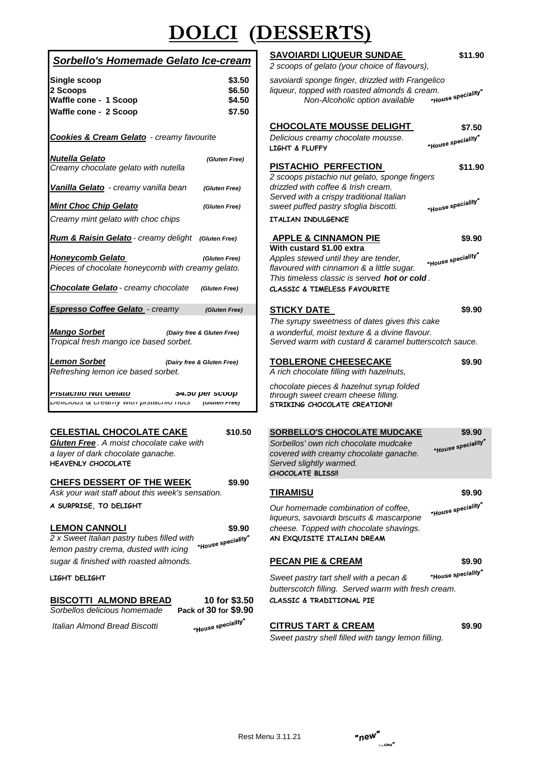# **DOLCI (DESSERTS)**

### *Sorbello's Homemade Gelato Ice-cream*

|                                                                                      |                            | z scoops or gelato (your crioice or havours),                                                            |                    |
|--------------------------------------------------------------------------------------|----------------------------|----------------------------------------------------------------------------------------------------------|--------------------|
| Single scoop                                                                         | \$3.50                     | savoiardi sponge finger, drizzled with Frangelico                                                        |                    |
| 2 Scoops                                                                             | \$6.50                     | liqueur, topped with roasted almonds & cream.                                                            |                    |
| Waffle cone - 1 Scoop                                                                | \$4.50                     | Non-Alcoholic option available                                                                           | "House speciality  |
| Waffle cone - 2 Scoop                                                                | \$7.50                     |                                                                                                          |                    |
|                                                                                      |                            |                                                                                                          |                    |
|                                                                                      |                            | <b>CHOCOLATE MOUSSE DELIGHT</b>                                                                          | \$7.50             |
| <b>Cookies &amp; Cream Gelato</b> - creamy favourite                                 |                            | Delicious creamy chocolate mousse.                                                                       | "House speciality" |
|                                                                                      |                            | LIGHT & FLUFFY                                                                                           |                    |
| <b>Nutella Gelato</b><br>Creamy chocolate gelato with nutella                        | (Gluten Free)              | <b>PISTACHIO PERFECTION</b>                                                                              | \$11.9             |
|                                                                                      |                            | 2 scoops pistachio nut gelato, sponge fingers                                                            |                    |
| <b>Vanilla Gelato</b> - creamy vanilla bean                                          | (Gluten Free)              | drizzled with coffee & Irish cream.                                                                      |                    |
|                                                                                      |                            | Served with a crispy traditional Italian                                                                 |                    |
| <b>Mint Choc Chip Gelato</b>                                                         | (Gluten Free)              | sweet puffed pastry sfoglia biscotti.                                                                    | "House speciality" |
| Creamy mint gelato with choc chips                                                   |                            | <b>ITALIAN INDULGENCE</b>                                                                                |                    |
|                                                                                      |                            |                                                                                                          |                    |
| Rum & Raisin Gelato - creamy delight                                                 | (Gluten Free)              | <b>APPLE &amp; CINNAMON PIE</b>                                                                          | \$9.90             |
|                                                                                      |                            | With custard \$1.00 extra                                                                                |                    |
| Honeycomb Gelato                                                                     | (Gluten Free)              | Apples stewed until they are tender,                                                                     | "House speciality" |
| Pieces of chocolate honeycomb with creamy gelato.                                    |                            | flavoured with cinnamon & a little sugar.                                                                |                    |
|                                                                                      |                            | This timeless classic is served <b>hot or cold</b> .                                                     |                    |
| <b>Chocolate Gelato</b> - creamy chocolate                                           | (Gluten Free)              | <b>CLASSIC &amp; TIMELESS FAVOURITE</b>                                                                  |                    |
| Espresso Coffee Gelato - creamy                                                      |                            |                                                                                                          | \$9.90             |
|                                                                                      | (Gluten Free)              | <b>STICKY DATE</b>                                                                                       |                    |
|                                                                                      |                            | The syrupy sweetness of dates gives this cake                                                            |                    |
| <b>Mango Sorbet</b>                                                                  | (Dairy free & Gluten Free) | a wonderful, moist texture & a divine flavour.<br>Served warm with custard & caramel butterscotch sauce. |                    |
| Tropical fresh mango ice based sorbet.                                               |                            |                                                                                                          |                    |
| Lemon Sorbet                                                                         | (Dairy free & Gluten Free) | <b>TOBLERONE CHEESECAKE</b>                                                                              | \$9.90             |
| Refreshing lemon ice based sorbet.                                                   |                            | A rich chocolate filling with hazelnuts,                                                                 |                    |
|                                                                                      |                            |                                                                                                          |                    |
| elato רושיט מורא                                                                     | \$4.50 per scoop           | chocolate pieces & hazelnut syrup folded                                                                 |                    |
| <i><b>Deliviuus &amp; vicality With pistavillo Huts</b></i>                          | (Giuten Free)              | through sweet cream cheese filling.<br>STRIKING CHOCOLATE CREATION!!                                     |                    |
|                                                                                      |                            |                                                                                                          |                    |
|                                                                                      |                            |                                                                                                          |                    |
| <b>CELESTIAL CHOCOLATE CAKE</b>                                                      | \$10.50                    | <b>SORBELLO'S CHOCOLATE MUDCAKE</b>                                                                      | \$9.90             |
| Gluten Free . A moist chocolate cake with                                            |                            | Sorbellos' own rich chocolate mudcake                                                                    | "House speciality  |
| a layer of dark chocolate ganache.                                                   |                            | covered with creamy chocolate ganache.                                                                   |                    |
| <b>HEAVENLY CHOCOLATE</b>                                                            |                            | Served slightly warmed.                                                                                  |                    |
|                                                                                      |                            | <b>CHOCOLATE BLISS!!</b>                                                                                 |                    |
| <b>CHEFS DESSERT OF THE WEEK</b><br>Ask your wait staff about this week's sensation. | \$9.90                     |                                                                                                          | \$9.90             |
|                                                                                      |                            | TIRAMISU                                                                                                 |                    |
| A SURPRISE, TO DELIGHT                                                               |                            | Our homemade combination of coffee,                                                                      | "House speciality" |

### **LEMON CANNOLI \$9.90** *cheese. Topped with chocolate shavings.*<br> **2** *x* Sweet Italian pastry tubes filled with **the speciality AN EXQUISITE ITALIAN DREAM**<br> **IPMON DASTRY STAND of the second district of the speciality** *2 x Sweet Italian pastry tubes filled with* **AN EXQUISITE ITALIAN DREAM** *lemon pastry crema, dusted with icing sugar & finished with roasted almonds.* **PECAN PIE & CREAM \$9.90**

# **BISCOTTI ALMOND BREAD 10 for \$3.50 CLASSIC & TRADITIONAL PIE**

*Sorbellos delicious homemade* **Pack of 30 for \$9.90**

### **SAVOIARDI LIQUEUR SUNDAE \$11.90**

*2 scoops of gelato (your choice of flavours),*

#### *Rum & Raisin Gelato - creamy delight (Gluten Free)* **APPLE & CINNAMON PIE \$9.90 With custard \$1.00 extra**

### *Lemon Sorbet (Dairy free & Gluten Free)* **TOBLERONE CHEESECAKE \$9.90**

"House speciality"

**Our homemade combination of coffee,** *liqueurs, savoiardi biscuits & mascarpone* 

"House speciality" **LIGHT DELIGHT** *Sweet pastry tart shell with a pecan & butterscotch filling. Served warm with fresh cream.*

### *Italian Almond Bread Biscotti* **CITRUS TART & CREAM \$9.90**

*Sweet pastry shell filled with tangy lemon filling.*

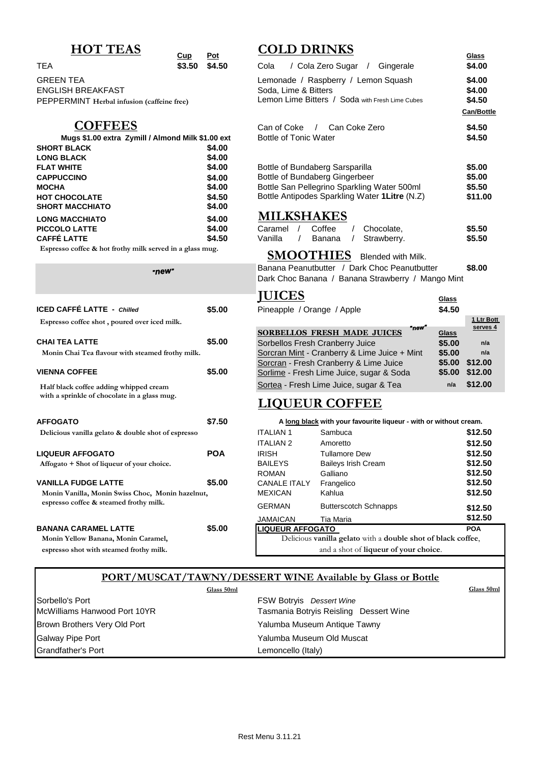### **COFFEES**

|                        | Mugs \$1.00 extra Zymill / Almond Milk \$1.00 ext |
|------------------------|---------------------------------------------------|
| <b>SHORT BLACK</b>     | \$4.00                                            |
| <b>LONG BLACK</b>      | \$4.00                                            |
| <b>FLAT WHITE</b>      | \$4.00                                            |
| <b>CAPPUCCINO</b>      | \$4.00                                            |
| <b>MOCHA</b>           | \$4.00                                            |
| <b>HOT CHOCOLATE</b>   | \$4.50                                            |
| <b>SHORT MACCHIATO</b> | \$4.00                                            |
| <b>LONG MACCHIATO</b>  | \$4.00                                            |
| <b>PICCOLO LATTE</b>   | \$4.00                                            |
| <b>CAFFÉ LATTE</b>     | \$4.50                                            |
|                        |                                                   |

 **Espresso coffee & hot frothy milk served in a glass mug.**

#### -new<sup>-</sup>

| <b>ICED CAFFÉ LATTE - Chilled</b><br>Espresso coffee shot, poured over iced milk.                                           | \$5.00 |
|-----------------------------------------------------------------------------------------------------------------------------|--------|
| <b>CHAI TEA LATTE</b><br>Monin Chai Tea flavour with steamed frothy milk.                                                   | \$5.00 |
| <b>VIENNA COFFEE</b><br>Half black coffee adding whipped cream                                                              | \$5.00 |
| with a sprinkle of chocolate in a glass mug.                                                                                |        |
| <b>AFFOGATO</b>                                                                                                             | \$7.50 |
| Delicious vanilla gelato & double shot of espresso<br><b>LIQUEUR AFFOGATO</b><br>Affogato + Shot of liqueur of your choice. | POA    |
| <b>VANILLA FUDGE LATTE</b><br>Monin Vanilla, Monin Swiss Choc, Monin hazelnut,<br>espresso coffee & steamed frothy milk.    | \$5.00 |
| <b>BANANA CARAMEL LATTE</b><br>Monin Yellow Banana, Monin Caramel,<br>espresso shot with steamed frothy milk.               | \$5.00 |

# $\underline{\text{HOT TEAS}}$  **COLD DRINKS COLD POSES**

|                                            | $\mathbf{u}$<br><u>.</u>                          |                                                 | $rac{u}{u}$       |
|--------------------------------------------|---------------------------------------------------|-------------------------------------------------|-------------------|
| TEA                                        | \$4.50<br>\$3.50                                  | / Cola Zero Sugar<br>Cola<br>Gingerale          | \$4.00            |
| GREEN TEA                                  |                                                   | Lemonade / Raspberry / Lemon Squash             | \$4.00            |
| <b>ENGLISH BREAKFAST</b>                   |                                                   | Soda, Lime & Bitters                            | \$4.00            |
| PEPPERMINT Herbal infusion (caffeine free) |                                                   | Lemon Lime Bitters / Soda with Fresh Lime Cubes | \$4.50            |
|                                            |                                                   |                                                 | <b>Can/Bottle</b> |
| <b>COFFEES</b>                             |                                                   | Can Coke Zero<br>Can of Coke<br>$\frac{1}{2}$   | \$4.50            |
|                                            | Mugs \$1.00 extra Zymill / Almond Milk \$1.00 ext | <b>Bottle of Tonic Water</b>                    | \$4.50            |
| SHORT BLACK                                | \$4.00                                            |                                                 |                   |
| <b>LONG BLACK</b>                          | \$4.00                                            |                                                 |                   |
| <b>FLAT WHITE</b>                          | \$4.00                                            | Bottle of Bundaberg Sarsparilla                 | \$5.00            |
| <b>CAPPUCCINO</b>                          | \$4.00                                            | Bottle of Bundaberg Gingerbeer                  | \$5.00            |
| <b>MOCHA</b>                               | \$4.00                                            | Bottle San Pellegrino Sparkling Water 500ml     | \$5.50            |
| <b>HOT CHOCOLATE</b>                       | \$4.50                                            | Bottle Antipodes Sparkling Water 1 Litre (N.Z)  | \$11.00           |
| <b>SHORT MACCHIATO</b>                     | \$4.00                                            |                                                 |                   |
| <b>LONG MACCHIATO</b>                      | \$4.00                                            | <b>MILKSHAKES</b>                               |                   |
| <b>PICCOLO LATTE</b>                       | \$4.00                                            | Coffee<br>Chocolate.<br>Caramel                 | \$5.50            |
|                                            |                                                   |                                                 |                   |

| <b>PICCOLO LATTE</b> | \$4.00 | Caramel | Coffee | / Chocolate.  | \$5.50 |
|----------------------|--------|---------|--------|---------------|--------|
| CAFFÉ LATTE          | \$4.50 | Vanilla | Banana | / Strawberry. | \$5.50 |

### **SMOOTHIES** Blended with Milk.

Banana Peanutbutter / Dark Choc Peanutbutter **\$8.00** Dark Choc Banana / Banana Strawberry / Mango Mint

|                                                  |        | <b>JUICES</b>                                | <b>Glass</b> |                |
|--------------------------------------------------|--------|----------------------------------------------|--------------|----------------|
| ICED CAFFÉ LATTE - Chilled                       | \$5.00 | Pineapple / Orange / Apple                   | \$4.50       |                |
| Espresso coffee shot, poured over iced milk.     |        |                                              |              | 1 Ltr Bott     |
|                                                  |        | "new"<br><b>SORBELLOS FRESH MADE JUICES</b>  | Glass        | serves 4       |
| <b>CHAI TEA LATTE</b>                            | \$5.00 | Sorbellos Fresh Cranberry Juice              | \$5.00       | n/a            |
| Monin Chai Tea flavour with steamed frothy milk. |        | Sorcran Mint - Cranberry & Lime Juice + Mint | \$5.00       | n/a            |
|                                                  |        | Sorcran - Fresh Cranberry & Lime Juice       | \$5.00       | \$12.00        |
| <b>VIENNA COFFEE</b>                             | \$5.00 | Sorlime - Fresh Lime Juice, sugar & Soda     |              | \$5.00 \$12.00 |
| Half black coffee adding whipped cream           |        | Sortea - Fresh Lime Juice, sugar & Tea       | n/a          | \$12.00        |

## **LIQUEUR COFFEE**

| <b>AFFOGATO</b>                                    | \$7.50     |                                                              | A long black with your favourite liqueur - with or without cream. |            |  |
|----------------------------------------------------|------------|--------------------------------------------------------------|-------------------------------------------------------------------|------------|--|
| Delicious vanilla gelato & double shot of espresso |            | <b>ITALIAN1</b>                                              | Sambuca                                                           | \$12.50    |  |
|                                                    |            | <b>ITALIAN 2</b>                                             | Amoretto                                                          | \$12.50    |  |
| <b>LIQUEUR AFFOGATO</b>                            | <b>POA</b> | <b>IRISH</b>                                                 | <b>Tullamore Dew</b>                                              | \$12.50    |  |
| Affogato + Shot of liqueur of your choice.         |            | <b>BAILEYS</b>                                               | <b>Baileys Irish Cream</b>                                        | \$12.50    |  |
|                                                    |            | <b>ROMAN</b>                                                 | Galliano                                                          | \$12.50    |  |
| <b>VANILLA FUDGE LATTE</b>                         | \$5.00     | <b>CANALE ITALY</b>                                          | Frangelico                                                        | \$12.50    |  |
| Monin Vanilla, Monin Swiss Choc, Monin hazelnut,   |            | <b>MEXICAN</b>                                               | Kahlua                                                            | \$12.50    |  |
| espresso coffee & steamed frothy milk.             |            | <b>GERMAN</b>                                                | <b>Butterscotch Schnapps</b>                                      | \$12.50    |  |
|                                                    |            | <b>JAMAICAN</b>                                              | Tia Maria                                                         | \$12.50    |  |
| <b>BANANA CARAMEL LATTE</b>                        | \$5.00     | LIQUEUR AFFOGATO                                             |                                                                   | <b>POA</b> |  |
| Monin Yellow Banana, Monin Caramel,                |            | Delicious vanilla gelato with a double shot of black coffee, |                                                                   |            |  |
| espresso shot with steamed frothy milk.            |            |                                                              | and a shot of <b>liqueur of your choice</b> .                     |            |  |

### **PORT/MUSCAT/TAWNY/DESSERT WINE Available by Glass or Bottle**

|                              | Glass 50ml                             | Glass 50ml |
|------------------------------|----------------------------------------|------------|
| Sorbello's Port              | <b>FSW Botryis</b> Dessert Wine        |            |
| McWilliams Hanwood Port 10YR | Tasmania Botryis Reisling Dessert Wine |            |
| Brown Brothers Very Old Port | Yalumba Museum Antique Tawny           |            |
| <b>Galway Pipe Port</b>      | Yalumba Museum Old Muscat              |            |
| <b>Grandfather's Port</b>    | Lemoncello (Italy)                     |            |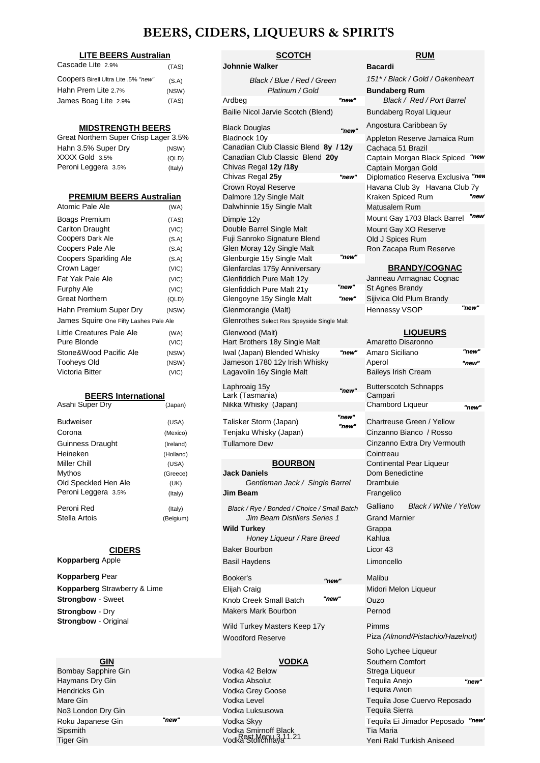### **BEERS, CIDERS, LIQUEURS & SPIRITS**

| <b>LITE BEERS Australian</b>           |         | <b>SCOTCH</b>                        |                                            |                |  |
|----------------------------------------|---------|--------------------------------------|--------------------------------------------|----------------|--|
| Cascade Lite 2.9%                      | (TAS)   | <b>Johnnie Walker</b>                |                                            | <b>Bacardi</b> |  |
| Coopers Birell Ultra Lite .5% "new"    | (S.A)   | Black / Blue / Red / Green           |                                            | $151*/B$       |  |
| Hahn Prem Lite 2.7%                    | (NSW)   | Platinum / Gold                      |                                            | <b>Bundab</b>  |  |
| James Boag Lite 2.9%                   | (TAS)   | Ardbeg                               | "new"                                      | Bla            |  |
|                                        |         | Bailie Nicol Jarvie Scotch (Blend)   |                                            | <b>Bundab</b>  |  |
| <b>MIDSTRENGTH BEERS</b>               |         | <b>Black Douglas</b>                 | "new"                                      | Angostu        |  |
| Great Northern Super Crisp Lager 3.5%  |         | Bladnock 10v                         |                                            | Appletor       |  |
| Hahn 3.5% Super Dry                    | (NSW)   | Canadian Club Classic Blend 8y / 12y |                                            | Cachaca        |  |
| XXXX Gold 3.5%                         | (QLD)   | Canadian Club Classic Blend 20y      |                                            | Captain        |  |
| Peroni Leggera 3.5%                    | (Italy) | Chivas Regal 12y /18y                |                                            | Captain        |  |
|                                        |         | Chivas Regal 25y                     | "new"                                      | Diploma        |  |
|                                        |         | <b>Crown Royal Reserve</b>           |                                            | Havana         |  |
| <b>PREMIUM BEERS Australian</b>        |         | Dalmore 12y Single Malt              |                                            | Kraken         |  |
| Atomic Pale Ale                        | (WA)    | Dalwhinnie 15y Single Malt           |                                            | Matusal        |  |
| Boags Premium                          | (TAS)   | Dimple 12y                           |                                            | Mount G        |  |
| Carlton Draught                        | (VIC)   | Double Barrel Single Malt            |                                            | Mount G        |  |
| Coopers Dark Ale                       | (S.A)   | Fuji Sanroko Signature Blend         |                                            | Old J Sp       |  |
| Coopers Pale Ale                       | (S.A)   | Glen Moray 12y Single Malt           |                                            | Ron Zao        |  |
| <b>Coopers Sparkling Ale</b>           | (S.A)   | Glenburgie 15y Single Malt           | "new"                                      |                |  |
| Crown Lager                            | (VIC)   | Glenfarclas 175y Anniversary         |                                            | <u>B</u>       |  |
| Fat Yak Pale Ale                       | (VIC)   | Glenfiddich Pure Malt 12y            |                                            | Janneau        |  |
| <b>Furphy Ale</b>                      | (VIC)   | Glenfiddich Pure Malt 21y            | "new"                                      | St Agne        |  |
| <b>Great Northern</b>                  | (QLD)   | Glengoyne 15y Single Malt            | "new"                                      | Sijivica (     |  |
| Hahn Premium Super Dry                 | (NSW)   | Glenmorangie (Malt)                  |                                            | Hennes:        |  |
| James Squire One Fifty Lashes Pale Ale |         |                                      | Glenrothes Select Res Speyside Single Malt |                |  |
| Little Creatures Pale Ale              | (WA)    | Glenwood (Malt)                      |                                            |                |  |
| Pure Blonde                            | (VIC)   | Hart Brothers 18y Single Malt        |                                            | Amarett        |  |
| Stone&Wood Pacific Ale                 | (NSW)   | Iwal (Japan) Blended Whisky          | "new"                                      | Amaro S        |  |
| <b>Tooheys Old</b>                     | (NSW)   | Jameson 1780 12y Irish Whisky        |                                            | Aperol         |  |

#### Asahi Super Dry (Japan) **BEERS International**

| <b>Budweiser</b>     | (USA)    |
|----------------------|----------|
| Corona               | (Mexico  |
| Guinness Draught     | (Ireland |
| Heineken             | (Holland |
| Miller Chill         | (USA)    |
| Mythos               | (Greece  |
| Old Speckled Hen Ale | (UK)     |
| Peroni Leggera 3.5%  | (Italy)  |
| Peroni Red           | (Italy)  |
| Stella Artois        | (Belgium |
|                      |          |

#### **CIDERS**

Bombay Sapphire Gin Vodka 42 Below Haymans Dry Gin Vodka Absolut Hendricks Gin Vodka Absolut Vodka Absolut Vodka Absolut Vodka Absolut Vodka Ane No3 London Dry Gin Vodka Luksusowa Roku Japanese Gin **"new"** Vodka Skyy Sipsmith Vodka Smirnoff Black Tia Maria Tiger Gin Vodka Stolichnaya Yeni Rakl Turkish Aniseed Rest Menu 3.11.21

### **SCOTCH RUM**

| Cascade Lite 2.9%                             | (TAS)     | <b>Johnnie Walker</b>                          |                | <b>Bacardi</b>                                     |       |
|-----------------------------------------------|-----------|------------------------------------------------|----------------|----------------------------------------------------|-------|
| Coopers Birell Ultra Lite .5% "new"           | (S.A)     | Black / Blue / Red / Green                     |                | 151*/Black/Gold/Oakenheart                         |       |
| Hahn Prem Lite 2.7%<br>(NSW)                  |           | Platinum / Gold                                |                | <b>Bundaberg Rum</b>                               |       |
| James Boag Lite 2.9%                          | (TAS)     | Ardbeg                                         | "new"          | Black / Red / Port Barrel                          |       |
|                                               |           | Bailie Nicol Jarvie Scotch (Blend)             |                | Bundaberg Royal Liqueur                            |       |
| <b>MIDSTRENGTH BEERS</b>                      |           | <b>Black Douglas</b>                           | "new"          | Angostura Caribbean 5y                             |       |
| Great Northern Super Crisp Lager 3.5%         |           | Bladnock 10y                                   |                | Appleton Reserve Jamaica Rum                       |       |
| Hahn 3.5% Super Dry                           | (NSW)     | Canadian Club Classic Blend 8y / 12y           |                | Cachaca 51 Brazil                                  |       |
| XXXX Gold 3.5%                                | (QLD)     | Canadian Club Classic Blend 20y                |                | Captain Morgan Black Spiced                        | "new  |
| Peroni Leggera 3.5%                           | (Italy)   | Chivas Regal 12y /18y                          |                | Captain Morgan Gold                                |       |
|                                               |           | Chivas Regal 25y                               | "new"          | Diplomatico Reserva Exclusiva                      | "nev  |
| <b>PREMIUM BEERS Australian</b>               |           | Crown Royal Reserve<br>Dalmore 12y Single Malt |                | Havana Club 3y Havana Club 7y<br>Kraken Spiced Rum | "new  |
| Atomic Pale Ale                               | (WA)      | Dalwhinnie 15y Single Malt                     |                | Matusalem Rum                                      |       |
| <b>Boags Premium</b>                          | (TAS)     | Dimple 12y                                     |                | Mount Gay 1703 Black Barrel                        | "new  |
| Carlton Draught                               | (VIC)     | Double Barrel Single Malt                      |                | Mount Gay XO Reserve                               |       |
| Coopers Dark Ale                              | (S.A)     | Fuji Sanroko Signature Blend                   |                | Old J Spices Rum                                   |       |
| Coopers Pale Ale                              | (S.A)     | Glen Moray 12y Single Malt                     |                | Ron Zacapa Rum Reserve                             |       |
| Coopers Sparkling Ale                         | (S.A)     | Glenburgie 15y Single Malt                     | "new"          |                                                    |       |
| Crown Lager                                   | (VIC)     | Glenfarclas 175y Anniversary                   |                | <b>BRANDY/COGNAC</b>                               |       |
| Fat Yak Pale Ale                              | (VIC)     | Glenfiddich Pure Malt 12y                      |                | Janneau Armagnac Cognac                            |       |
| <b>Furphy Ale</b>                             | (VIC)     | Glenfiddich Pure Malt 21y                      | "new"          | St Agnes Brandy                                    |       |
| Great Northern                                | (QLD)     | Glengoyne 15y Single Malt                      | "new"          | Sijivica Old Plum Brandy                           |       |
| Hahn Premium Super Dry                        | (NSW)     | Glenmorangie (Malt)                            |                | Hennessy VSOP                                      | "new" |
| James Squire One Fifty Lashes Pale Ale        |           | Glenrothes Select Res Speyside Single Malt     |                |                                                    |       |
| Little Creatures Pale Ale                     | (WA)      | Glenwood (Malt)                                |                | <b>LIQUEURS</b>                                    |       |
| Pure Blonde                                   | (VIC)     | Hart Brothers 18y Single Malt                  |                | Amaretto Disaronno                                 |       |
| Stone&Wood Pacific Ale                        | (NSW)     | Iwal (Japan) Blended Whisky                    | "new"          | Amaro Siciliano                                    | "new" |
| Tooheys Old<br>Victoria Bitter                | (NSW)     | Jameson 1780 12y Irish Whisky                  |                | Aperol                                             | "new" |
|                                               | (VIC)     | Lagavolin 16y Single Malt                      |                | <b>Baileys Irish Cream</b>                         |       |
|                                               |           | Laphroaig 15y                                  | "new"          | <b>Butterscotch Schnapps</b>                       |       |
| <b>BEERS</b> International<br>Asahi Super Dry |           | Lark (Tasmania)<br>Nikka Whisky (Japan)        |                | Campari<br>Chambord Liqueur                        |       |
|                                               | (Japan)   |                                                |                |                                                    | "new" |
| Budweiser                                     | (USA)     | Talisker Storm (Japan)                         | "new"<br>"new" | Chartreuse Green / Yellow                          |       |
| Corona                                        | (Mexico)  | Tenjaku Whisky (Japan)                         |                | Cinzanno Bianco / Rosso                            |       |
| Guinness Draught                              | (Ireland) | <b>Tullamore Dew</b>                           |                | Cinzanno Extra Dry Vermouth                        |       |
| Heineken                                      | (Holland) |                                                |                | Cointreau                                          |       |
| Miller Chill                                  | (USA)     | <b>BOURBON</b>                                 |                | <b>Continental Pear Liqueur</b>                    |       |
| Mythos                                        | (Greece)  | <b>Jack Daniels</b>                            |                | Dom Benedictine                                    |       |
| Old Speckled Hen Ale<br>Peroni Leggera 3.5%   | (UK)      | Gentleman Jack / Single Barrel                 |                | Drambuie                                           |       |
|                                               | (Italy)   | Jim Beam                                       |                | Frangelico                                         |       |
| Peroni Red                                    | (Italy)   | Black / Rye / Bonded / Choice / Small Batch    |                | Galliano<br>Black / White / Yellow                 |       |
| Stella Artois                                 | (Belgium) | Jim Beam Distillers Series 1                   |                | <b>Grand Marnier</b>                               |       |
|                                               |           | <b>Wild Turkey</b>                             |                | Grappa                                             |       |
|                                               |           | Honey Liqueur / Rare Breed                     |                | Kahlua                                             |       |
| <b>CIDERS</b>                                 |           | <b>Baker Bourbon</b>                           |                | Licor 43                                           |       |
| <b>Kopparberg Apple</b>                       |           | <b>Basil Haydens</b>                           |                | Limoncello                                         |       |
| <b>Kopparberg</b> Pear                        |           | Booker's                                       | "new"          | Malibu                                             |       |
| Kopparberg Strawberry & Lime                  |           | Elijah Craig                                   |                | Midori Melon Liqueur                               |       |
| <b>Strongbow - Sweet</b>                      |           | Knob Creek Small Batch                         | "new"          | Ouzo                                               |       |

#### BRANDY/COGNAC

| Janneau Armagnac Cognac  |       |
|--------------------------|-------|
| St Agnes Brandy          |       |
| Sijivica Old Plum Brandy |       |
| <b>Hennessy VSOP</b>     | "new" |
|                          |       |

## Amaretto Disaronno

| Stone&Wood Pacific Ale       | (NSW)     | Iwal (Japan) Blended Whisky                 | "new"          | Amaro Siciliano                    | "new" |
|------------------------------|-----------|---------------------------------------------|----------------|------------------------------------|-------|
| <b>Tooheys Old</b>           | (NSW)     | Jameson 1780 12y Irish Whisky               |                | Aperol                             | "new" |
| Victoria Bitter              | (VIC)     | Lagavolin 16y Single Malt                   |                | <b>Baileys Irish Cream</b>         |       |
|                              |           | Laphroaig 15y                               | "new"          | <b>Butterscotch Schnapps</b>       |       |
| <b>BEERS International</b>   |           | Lark (Tasmania)                             |                | Campari                            |       |
| Asahi Super Dry              | (Japan)   | Nikka Whisky (Japan)                        |                | <b>Chambord Liqueur</b>            | "new" |
| Budweiser                    | (USA)     | Talisker Storm (Japan)                      | "new"<br>"new" | Chartreuse Green / Yellow          |       |
| Corona                       | (Mexico)  | Tenjaku Whisky (Japan)                      |                | Cinzanno Bianco / Rosso            |       |
| Guinness Draught             | (Ireland) | <b>Tullamore Dew</b>                        |                | Cinzanno Extra Dry Vermouth        |       |
| Heineken                     | (Holland) |                                             |                | Cointreau                          |       |
| Miller Chill                 | (USA)     | <b>BOURBON</b>                              |                | <b>Continental Pear Liqueur</b>    |       |
| Mythos                       | (Greece)  | <b>Jack Daniels</b>                         |                | Dom Benedictine                    |       |
| Old Speckled Hen Ale         | (UK)      | Gentleman Jack / Single Barrel              |                | Drambuie                           |       |
| Peroni Leggera 3.5%          | (Italy)   | <b>Jim Beam</b>                             |                | Frangelico                         |       |
| Peroni Red                   | (Italy)   | Black / Rye / Bonded / Choice / Small Batch |                | Galliano<br>Black / White / Yellow |       |
| Stella Artois                | (Belgium) | <b>Jim Beam Distillers Series 1</b>         |                | <b>Grand Marnier</b>               |       |
|                              |           | <b>Wild Turkey</b>                          |                | Grappa                             |       |
|                              |           | Honey Liqueur / Rare Breed                  |                | Kahlua                             |       |
| <b>CIDERS</b>                |           | <b>Baker Bourbon</b>                        |                | Licor 43                           |       |
| <b>Kopparberg Apple</b>      |           | <b>Basil Haydens</b>                        |                | Limoncello                         |       |
| <b>Kopparberg Pear</b>       |           | Booker's                                    | "new"          | Malibu                             |       |
| Kopparberg Strawberry & Lime |           | Elijah Craig                                |                | Midori Melon Liqueur               |       |
| <b>Strongbow - Sweet</b>     |           | Knob Creek Small Batch                      | "new"          | Ouzo                               |       |
| <b>Strongbow - Dry</b>       |           | <b>Makers Mark Bourbon</b>                  |                | Pernod                             |       |
| <b>Strongbow</b> - Original  |           | Wild Turkey Masters Keep 17y                |                | Pimms                              |       |
|                              |           | <b>Woodford Reserve</b>                     |                | Piza (Almond/Pistachio/Hazelnut)   |       |
|                              |           |                                             |                | Soho Lychee Liqueur                |       |
| <b>GIN</b>                   |           | <b>VODKA</b>                                |                | Southern Comfort                   |       |
| Bombay Sapphire Gin          |           | Vodka 42 Below                              |                | Strega Liqueur                     |       |
| Haymans Dry Gin              |           | Vodka Absolut                               |                | Tequila Anejo                      | "new" |
| Hendricks Gin                |           | Vodka Grey Goose                            |                | I equila Avion                     |       |
| Mare Gin                     |           | Vodka Level                                 |                | Tequila Jose Cuervo Reposado       |       |
| No3 London Dry Gin           |           | Vodka Luksusowa                             |                | <b>Tequila Sierra</b>              |       |
| Roku Japanese Gin            | "new"     | Vodka Skyy                                  |                | Tequila Ei Jimador Peposado "new"  |       |
|                              |           |                                             |                |                                    |       |